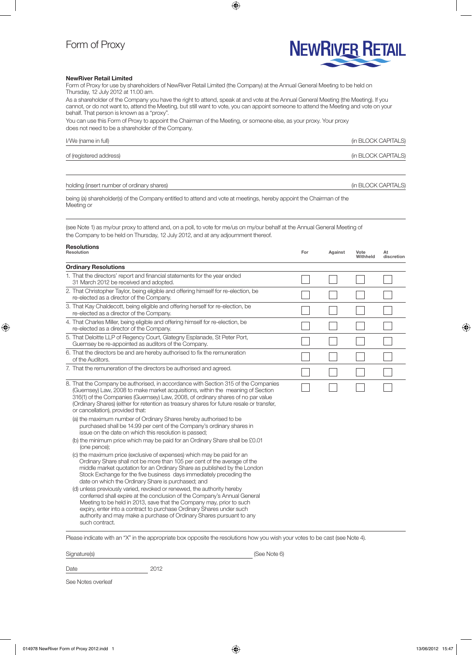## Form of Proxy



## NewRiver Retail Limited

Form of Proxy for use by shareholders of NewRiver Retail Limited (the Company) at the Annual General Meeting to be held on Thursday, 12 July 2012 at 11.00 am.

As a shareholder of the Company you have the right to attend, speak at and vote at the Annual General Meeting (the Meeting). If you cannot, or do not want to, attend the Meeting, but still want to vote, you can appoint someone to attend the Meeting and vote on your behalf. That person is known as a "proxy".

 $\bigoplus$ 

You can use this Form of Proxy to appoint the Chairman of the Meeting, or someone else, as your proxy. Your proxy does not need to be a shareholder of the Company.

| I/We (name in full)     | (in BLOCK CAPITALS) |
|-------------------------|---------------------|
| of (registered address) | (in BLOCK CAPITALS) |
|                         |                     |

holding (insert number of ordinary shares) and the state of ordinary shares) and the state of ordinary shares)

being (a) shareholder(s) of the Company entitled to attend and vote at meetings, hereby appoint the Chairman of the Meeting or

(see Note 1) as my/our proxy to attend and, on a poll, to vote for me/us on my/our behalf at the Annual General Meeting of the Company to be held on Thursday, 12 July 2012, and at any adjournment thereof.

| <b>Resolutions</b><br>Resolution |                                                                                                                                                                                                                                                                                                                                                                                              | For | Against | Vote<br>Withheld | At<br>discretion |
|----------------------------------|----------------------------------------------------------------------------------------------------------------------------------------------------------------------------------------------------------------------------------------------------------------------------------------------------------------------------------------------------------------------------------------------|-----|---------|------------------|------------------|
|                                  | <b>Ordinary Resolutions</b>                                                                                                                                                                                                                                                                                                                                                                  |     |         |                  |                  |
|                                  | 1. That the directors' report and financial statements for the year ended<br>31 March 2012 be received and adopted.                                                                                                                                                                                                                                                                          |     |         |                  |                  |
|                                  | 2. That Christopher Taylor, being eligible and offering himself for re-election, be<br>re-elected as a director of the Company.                                                                                                                                                                                                                                                              |     |         |                  |                  |
|                                  | 3. That Kay Chaldecott, being eligible and offering herself for re-election, be<br>re-elected as a director of the Company.                                                                                                                                                                                                                                                                  |     |         |                  |                  |
|                                  | 4. That Charles Miller, being eligible and offering himself for re-election, be<br>re-elected as a director of the Company.                                                                                                                                                                                                                                                                  |     |         |                  |                  |
|                                  | 5. That Deloitte LLP of Regency Court, Glategny Esplanade, St Peter Port,<br>Guernsey be re-appointed as auditors of the Company.                                                                                                                                                                                                                                                            |     |         |                  |                  |
|                                  | 6. That the directors be and are hereby authorised to fix the remuneration<br>of the Auditors.                                                                                                                                                                                                                                                                                               |     |         |                  |                  |
|                                  | 7. That the remuneration of the directors be authorised and agreed.                                                                                                                                                                                                                                                                                                                          |     |         |                  |                  |
|                                  | 8. That the Company be authorised, in accordance with Section 315 of the Companies<br>(Guernsey) Law, 2008 to make market acquisitions, within the meaning of Section<br>316(1) of the Companies (Guernsey) Law, 2008, of ordinary shares of no par value<br>(Ordinary Shares) (either for retention as treasury shares for future resale or transfer,<br>or cancellation), provided that:   |     |         |                  |                  |
|                                  | (a) the maximum number of Ordinary Shares hereby authorised to be<br>purchased shall be 14.99 per cent of the Company's ordinary shares in<br>issue on the date on which this resolution is passed;<br>(b) the minimum price which may be paid for an Ordinary Share shall be £0.01<br>(one pence);                                                                                          |     |         |                  |                  |
|                                  | (c) the maximum price (exclusive of expenses) which may be paid for an<br>Ordinary Share shall not be more than 105 per cent of the average of the<br>middle market quotation for an Ordinary Share as published by the London<br>Stock Exchange for the five business days immediately preceding the<br>date on which the Ordinary Share is purchased; and                                  |     |         |                  |                  |
|                                  | (d) unless previously varied, revoked or renewed, the authority hereby<br>conferred shall expire at the conclusion of the Company's Annual General<br>Meeting to be held in 2013, save that the Company may, prior to such<br>expiry, enter into a contract to purchase Ordinary Shares under such<br>authority and may make a purchase of Ordinary Shares pursuant to any<br>such contract. |     |         |                  |                  |

Please indicate with an "X" in the appropriate box opposite the resolutions how you wish your votes to be cast (see Note 4).

Signature(s) (See Note 6)

 $\bigoplus$ 

Date 2012

See Notes overleaf

⊕